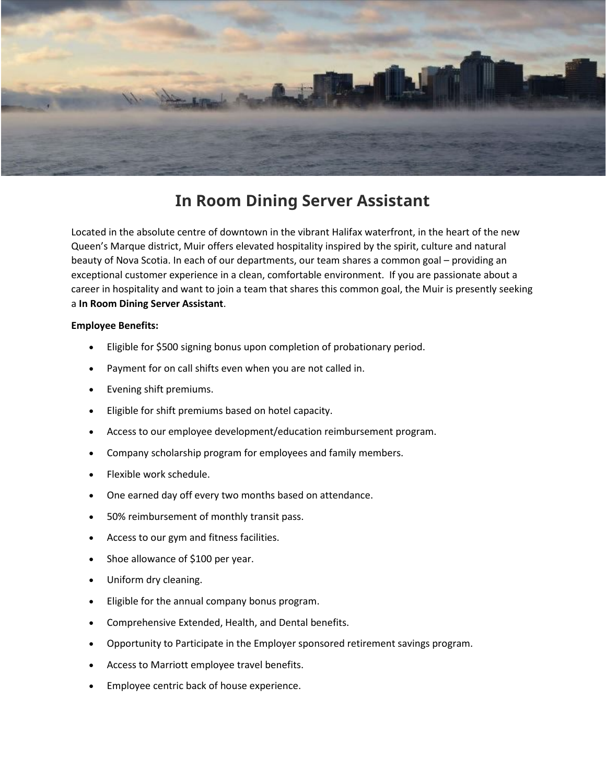

# **In Room Dining Server Assistant**

Located in the absolute centre of downtown in the vibrant Halifax waterfront, in the heart of the new Queen's Marque district, Muir offers elevated hospitality inspired by the spirit, culture and natural beauty of Nova Scotia. In each of our departments, our team shares a common goal – providing an exceptional customer experience in a clean, comfortable environment. If you are passionate about a career in hospitality and want to join a team that shares this common goal, the Muir is presently seeking a **In Room Dining Server Assistant**.

# **Employee Benefits:**

- Eligible for \$500 signing bonus upon completion of probationary period.
- Payment for on call shifts even when you are not called in.
- Evening shift premiums.
- Eligible for shift premiums based on hotel capacity.
- Access to our employee development/education reimbursement program.
- Company scholarship program for employees and family members.
- Flexible work schedule.
- One earned day off every two months based on attendance.
- 50% reimbursement of monthly transit pass.
- Access to our gym and fitness facilities.
- Shoe allowance of \$100 per year.
- Uniform dry cleaning.
- Eligible for the annual company bonus program.
- Comprehensive Extended, Health, and Dental benefits.
- Opportunity to Participate in the Employer sponsored retirement savings program.
- Access to Marriott employee travel benefits.
- Employee centric back of house experience.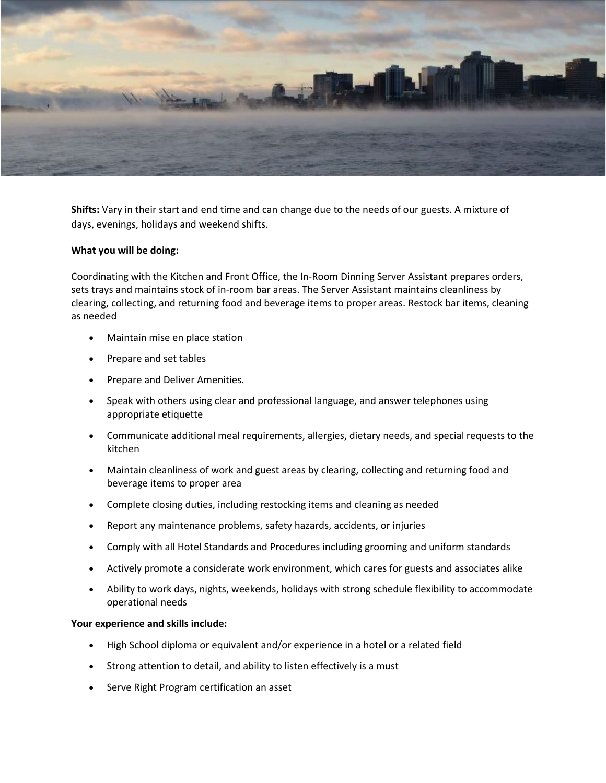

**Shifts:** Vary in their start and end time and can change due to the needs of our guests. A mixture of days, evenings, holidays and weekend shifts.

# **What you will be doing:**

Coordinating with the Kitchen and Front Office, the In-Room Dinning Server Assistant prepares orders, sets trays and maintains stock of in-room bar areas. The Server Assistant maintains cleanliness by clearing, collecting, and returning food and beverage items to proper areas. Restock bar items, cleaning as needed

- Maintain mise en place station
- Prepare and set tables
- Prepare and Deliver Amenities.
- Speak with others using clear and professional language, and answer telephones using appropriate etiquette
- Communicate additional meal requirements, allergies, dietary needs, and special requests to the kitchen
- Maintain cleanliness of work and guest areas by clearing, collecting and returning food and beverage items to proper area
- Complete closing duties, including restocking items and cleaning as needed
- Report any maintenance problems, safety hazards, accidents, or injuries
- Comply with all Hotel Standards and Procedures including grooming and uniform standards
- Actively promote a considerate work environment, which cares for guests and associates alike
- Ability to work days, nights, weekends, holidays with strong schedule flexibility to accommodate operational needs

# **Your experience and skills include:**

- High School diploma or equivalent and/or experience in a hotel or a related field
- Strong attention to detail, and ability to listen effectively is a must
- Serve Right Program certification an asset